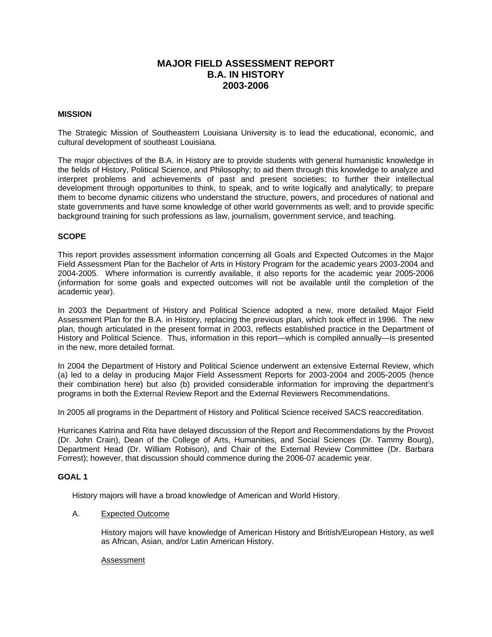# **MAJOR FIELD ASSESSMENT REPORT B.A. IN HISTORY 2003-2006**

## **MISSION**

The Strategic Mission of Southeastern Louisiana University is to lead the educational, economic, and cultural development of southeast Louisiana.

The major objectives of the B.A. in History are to provide students with general humanistic knowledge in the fields of History, Political Science, and Philosophy; to aid them through this knowledge to analyze and interpret problems and achievements of past and present societies; to further their intellectual development through opportunities to think, to speak, and to write logically and analytically; to prepare them to become dynamic citizens who understand the structure, powers, and procedures of national and state governments and have some knowledge of other world governments as well; and to provide specific background training for such professions as law, journalism, government service, and teaching.

# **SCOPE**

This report provides assessment information concerning all Goals and Expected Outcomes in the Major Field Assessment Plan for the Bachelor of Arts in History Program for the academic years 2003-2004 and 2004-2005. Where information is currently available, it also reports for the academic year 2005-2006 (information for some goals and expected outcomes will not be available until the completion of the academic year).

In 2003 the Department of History and Political Science adopted a new, more detailed Major Field Assessment Plan for the B.A. in History, replacing the previous plan, which took effect in 1996. The new plan, though articulated in the present format in 2003, reflects established practice in the Department of History and Political Science. Thus, information in this report—which is compiled annually—is presented in the new, more detailed format.

In 2004 the Department of History and Political Science underwent an extensive External Review, which (a) led to a delay in producing Major Field Assessment Reports for 2003-2004 and 2005-2005 (hence their combination here) but also (b) provided considerable information for improving the department's programs in both the External Review Report and the External Reviewers Recommendations.

In 2005 all programs in the Department of History and Political Science received SACS reaccreditation.

Hurricanes Katrina and Rita have delayed discussion of the Report and Recommendations by the Provost (Dr. John Crain), Dean of the College of Arts, Humanities, and Social Sciences (Dr. Tammy Bourg), Department Head (Dr. William Robison), and Chair of the External Review Committee (Dr. Barbara Forrest); however, that discussion should commence during the 2006-07 academic year.

### **GOAL 1**

History majors will have a broad knowledge of American and World History.

# A. Expected Outcome

History majors will have knowledge of American History and British/European History, as well as African, Asian, and/or Latin American History.

#### Assessment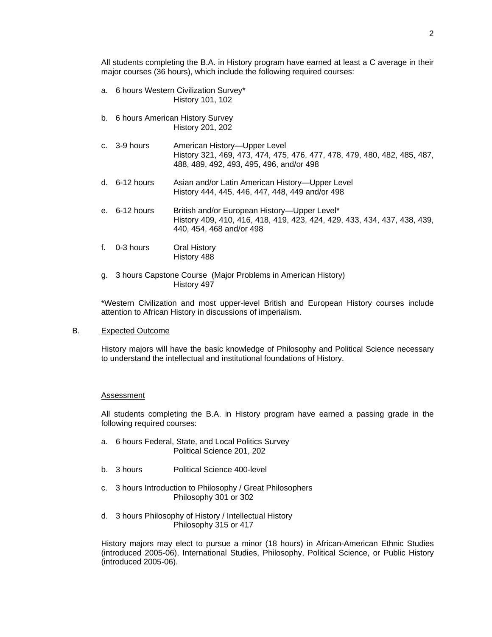All students completing the B.A. in History program have earned at least a C average in their major courses (36 hours), which include the following required courses:

- a. 6 hours Western Civilization Survey\* History 101, 102
- b. 6 hours American History Survey History 201, 202
- c. 3-9 hours American History—Upper Level History 321, 469, 473, 474, 475, 476, 477, 478, 479, 480, 482, 485, 487, 488, 489, 492, 493, 495, 496, and/or 498
- d. 6-12 hours Asian and/or Latin American History—Upper Level History 444, 445, 446, 447, 448, 449 and/or 498
- e. 6-12 hours British and/or European History—Upper Level\* History 409, 410, 416, 418, 419, 423, 424, 429, 433, 434, 437, 438, 439, 440, 454, 468 and/or 498
- f. 0-3 hours Oral History History 488
- g. 3 hours Capstone Course (Major Problems in American History) History 497

\*Western Civilization and most upper-level British and European History courses include attention to African History in discussions of imperialism.

### B. Expected Outcome

History majors will have the basic knowledge of Philosophy and Political Science necessary to understand the intellectual and institutional foundations of History.

#### Assessment

All students completing the B.A. in History program have earned a passing grade in the following required courses:

- a. 6 hours Federal, State, and Local Politics Survey Political Science 201, 202
- b. 3 hours Political Science 400-level
- c. 3 hours Introduction to Philosophy / Great Philosophers Philosophy 301 or 302
- d. 3 hours Philosophy of History / Intellectual History Philosophy 315 or 417

History majors may elect to pursue a minor (18 hours) in African-American Ethnic Studies (introduced 2005-06), International Studies, Philosophy, Political Science, or Public History (introduced 2005-06).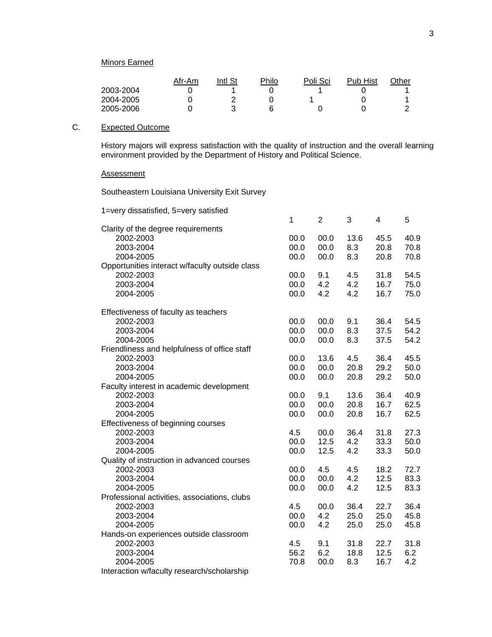|           | Afr-Am | Intl St | Philo | Poli Sci | <b>Pub Hist</b> | $\gamma$ ther |
|-----------|--------|---------|-------|----------|-----------------|---------------|
| 2003-2004 |        |         |       |          |                 |               |
| 2004-2005 |        |         |       |          |                 |               |
| 2005-2006 |        |         |       |          |                 |               |

# C. Expected Outcome

History majors will express satisfaction with the quality of instruction and the overall learning environment provided by the Department of History and Political Science.

# **Assessment**

Southeastern Louisiana University Exit Survey

| 1=very dissatisfied, 5=very satisfied          |      |                |      |      |      |
|------------------------------------------------|------|----------------|------|------|------|
|                                                | 1    | $\overline{2}$ | 3    | 4    | 5    |
| Clarity of the degree requirements             |      |                |      |      |      |
| 2002-2003                                      | 00.0 | 00.0           | 13.6 | 45.5 | 40.9 |
| 2003-2004                                      | 00.0 | 00.0           | 8.3  | 20.8 | 70.8 |
| 2004-2005                                      | 00.0 | 00.0           | 8.3  | 20.8 | 70.8 |
| Opportunities interact w/faculty outside class |      |                |      |      |      |
| 2002-2003                                      | 00.0 | 9.1            | 4.5  | 31.8 | 54.5 |
| 2003-2004                                      | 00.0 | 4.2            | 4.2  | 16.7 | 75.0 |
| 2004-2005                                      | 00.0 | 4.2            | 4.2  | 16.7 | 75.0 |
| Effectiveness of faculty as teachers           |      |                |      |      |      |
| 2002-2003                                      | 00.0 | 00.0           | 9.1  | 36.4 | 54.5 |
| 2003-2004                                      | 00.0 | 00.0           | 8.3  | 37.5 | 54.2 |
| 2004-2005                                      | 00.0 | 00.0           | 8.3  | 37.5 | 54.2 |
| Friendliness and helpfulness of office staff   |      |                |      |      |      |
| 2002-2003                                      | 00.0 | 13.6           | 4.5  | 36.4 | 45.5 |
| 2003-2004                                      | 00.0 | 00.0           | 20.8 | 29.2 | 50.0 |
| 2004-2005                                      | 00.0 | 00.0           | 20.8 | 29.2 | 50.0 |
| Faculty interest in academic development       |      |                |      |      |      |
| 2002-2003                                      | 00.0 | 9.1            | 13.6 | 36.4 | 40.9 |
| 2003-2004                                      | 00.0 | 00.0           | 20.8 | 16.7 | 62.5 |
| 2004-2005                                      | 00.0 | 00.0           | 20.8 | 16.7 | 62.5 |
| Effectiveness of beginning courses             |      |                |      |      |      |
| 2002-2003                                      | 4.5  | 00.0           | 36.4 | 31.8 | 27.3 |
| 2003-2004                                      | 00.0 | 12.5           | 4.2  | 33.3 | 50.0 |
| 2004-2005                                      | 00.0 | 12.5           | 4.2  | 33.3 | 50.0 |
| Quality of instruction in advanced courses     |      |                |      |      |      |
| 2002-2003                                      | 00.0 | 4.5            | 4.5  | 18.2 | 72.7 |
| 2003-2004                                      | 00.0 | 00.0           | 4.2  | 12.5 | 83.3 |
| 2004-2005                                      | 00.0 | 00.0           | 4.2  | 12.5 | 83.3 |
| Professional activities, associations, clubs   |      |                |      |      |      |
| 2002-2003                                      | 4.5  | 00.0           | 36.4 | 22.7 | 36.4 |
| 2003-2004                                      | 00.0 | 4.2            | 25.0 | 25.0 | 45.8 |
| 2004-2005                                      | 00.0 | 4.2            | 25.0 | 25.0 | 45.8 |
| Hands-on experiences outside classroom         |      |                |      |      |      |
| 2002-2003                                      | 4.5  | 9.1            | 31.8 | 22.7 | 31.8 |
| 2003-2004                                      | 56.2 | 6.2            | 18.8 | 12.5 | 6.2  |
| 2004-2005                                      | 70.8 | 00.0           | 8.3  | 16.7 | 4.2  |
| Interaction w/faculty research/scholarship     |      |                |      |      |      |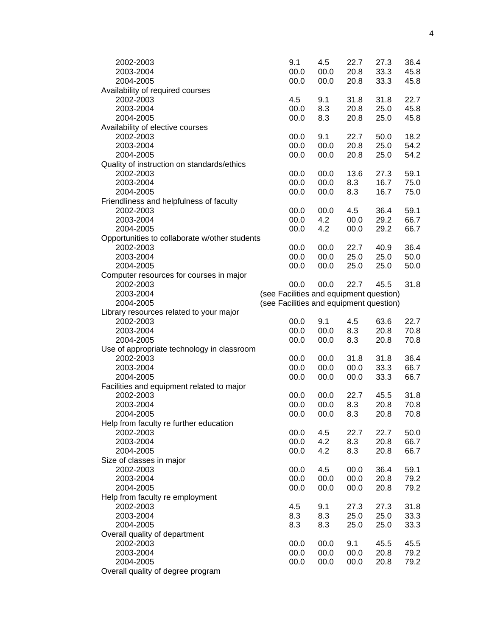| 2002-2003                                     | 9.1                                     | 4.5  | 22.7 | 27.3 | 36.4 |
|-----------------------------------------------|-----------------------------------------|------|------|------|------|
| 2003-2004                                     | 00.0                                    | 00.0 | 20.8 | 33.3 | 45.8 |
| 2004-2005                                     | 00.0                                    | 00.0 | 20.8 | 33.3 | 45.8 |
| Availability of required courses              |                                         |      |      |      |      |
| 2002-2003                                     | 4.5                                     | 9.1  | 31.8 | 31.8 | 22.7 |
| 2003-2004                                     | 00.0                                    | 8.3  | 20.8 | 25.0 | 45.8 |
| 2004-2005                                     | 00.0                                    | 8.3  | 20.8 | 25.0 | 45.8 |
| Availability of elective courses              |                                         |      |      |      |      |
| 2002-2003                                     | 00.0                                    | 9.1  | 22.7 | 50.0 | 18.2 |
| 2003-2004                                     | 00.0                                    | 00.0 | 20.8 | 25.0 | 54.2 |
| 2004-2005                                     | 00.0                                    | 00.0 | 20.8 | 25.0 | 54.2 |
| Quality of instruction on standards/ethics    |                                         |      |      |      |      |
| 2002-2003                                     | 00.0                                    | 00.0 | 13.6 | 27.3 | 59.1 |
| 2003-2004                                     | 00.0                                    | 00.0 | 8.3  | 16.7 | 75.0 |
| 2004-2005                                     | 00.0                                    | 00.0 | 8.3  | 16.7 | 75.0 |
| Friendliness and helpfulness of faculty       |                                         |      |      |      |      |
| 2002-2003                                     | 00.0                                    | 00.0 | 4.5  | 36.4 | 59.1 |
| 2003-2004                                     | 00.0                                    | 4.2  | 00.0 | 29.2 | 66.7 |
|                                               |                                         |      | 00.0 |      |      |
| 2004-2005                                     | 00.0                                    | 4.2  |      | 29.2 | 66.7 |
| Opportunities to collaborate w/other students |                                         |      |      |      |      |
| 2002-2003                                     | 00.0                                    | 00.0 | 22.7 | 40.9 | 36.4 |
| 2003-2004                                     | 00.0                                    | 00.0 | 25.0 | 25.0 | 50.0 |
| 2004-2005                                     | 00.0                                    | 00.0 | 25.0 | 25.0 | 50.0 |
| Computer resources for courses in major       |                                         |      |      |      |      |
| 2002-2003                                     | 00.0                                    | 00.0 | 22.7 | 45.5 | 31.8 |
| 2003-2004                                     | (see Facilities and equipment question) |      |      |      |      |
| 2004-2005                                     | (see Facilities and equipment question) |      |      |      |      |
| Library resources related to your major       |                                         |      |      |      |      |
| 2002-2003                                     | 00.0                                    | 9.1  | 4.5  | 63.6 | 22.7 |
| 2003-2004                                     | 00.0                                    | 00.0 | 8.3  | 20.8 | 70.8 |
| 2004-2005                                     | 00.0                                    | 00.0 | 8.3  | 20.8 | 70.8 |
| Use of appropriate technology in classroom    |                                         |      |      |      |      |
| 2002-2003                                     | 00.0                                    | 00.0 | 31.8 | 31.8 | 36.4 |
| 2003-2004                                     | 00.0                                    | 00.0 | 00.0 | 33.3 | 66.7 |
| 2004-2005                                     | 00.0                                    | 00.0 | 00.0 | 33.3 | 66.7 |
| Facilities and equipment related to major     |                                         |      |      |      |      |
| 2002-2003                                     | 00.0                                    | 00.0 | 22.7 | 45.5 | 31.8 |
|                                               | 00.0                                    | 00.0 | 8.3  | 20.8 | 70.8 |
| 2003-2004                                     |                                         |      |      |      |      |
| 2004-2005                                     | 00.0                                    | 00.0 | 8.3  | 20.8 | 70.8 |
| Help from faculty re further education        |                                         |      |      |      |      |
| 2002-2003                                     | 00.0                                    | 4.5  | 22.7 | 22.7 | 50.0 |
| 2003-2004                                     | 00.0                                    | 4.2  | 8.3  | 20.8 | 66.7 |
| 2004-2005                                     | 00.0                                    | 4.2  | 8.3  | 20.8 | 66.7 |
| Size of classes in major                      |                                         |      |      |      |      |
| 2002-2003                                     | 00.0                                    | 4.5  | 00.0 | 36.4 | 59.1 |
| 2003-2004                                     | 00.0                                    | 00.0 | 00.0 | 20.8 | 79.2 |
| 2004-2005                                     | 00.0                                    | 00.0 | 00.0 | 20.8 | 79.2 |
| Help from faculty re employment               |                                         |      |      |      |      |
| 2002-2003                                     | 4.5                                     | 9.1  | 27.3 | 27.3 | 31.8 |
| 2003-2004                                     | 8.3                                     | 8.3  | 25.0 | 25.0 | 33.3 |
| 2004-2005                                     | 8.3                                     | 8.3  | 25.0 | 25.0 | 33.3 |
| Overall quality of department                 |                                         |      |      |      |      |
| 2002-2003                                     | 00.0                                    | 00.0 | 9.1  | 45.5 | 45.5 |
| 2003-2004                                     | 00.0                                    | 00.0 | 00.0 | 20.8 | 79.2 |
| 2004-2005                                     | 00.0                                    | 00.0 | 00.0 | 20.8 | 79.2 |
|                                               |                                         |      |      |      |      |
| Overall quality of degree program             |                                         |      |      |      |      |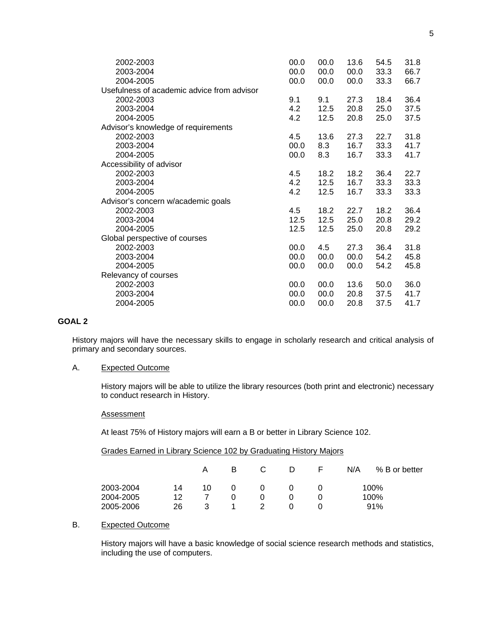| 2002-2003                                  | 00.0 | 00.0 | 13.6 | 54.5 | 31.8 |
|--------------------------------------------|------|------|------|------|------|
| 2003-2004                                  | 00.0 | 00.0 | 00.0 | 33.3 | 66.7 |
| 2004-2005                                  | 00.0 | 00.0 | 00.0 | 33.3 | 66.7 |
| Usefulness of academic advice from advisor |      |      |      |      |      |
| 2002-2003                                  | 9.1  | 9.1  | 27.3 | 18.4 | 36.4 |
| 2003-2004                                  | 4.2  | 12.5 | 20.8 | 25.0 | 37.5 |
| 2004-2005                                  | 4.2  | 12.5 | 20.8 | 25.0 | 37.5 |
| Advisor's knowledge of requirements        |      |      |      |      |      |
| 2002-2003                                  | 4.5  | 13.6 | 27.3 | 22.7 | 31.8 |
| 2003-2004                                  | 00.0 | 8.3  | 16.7 | 33.3 | 41.7 |
| 2004-2005                                  | 00.0 | 8.3  | 16.7 | 33.3 | 41.7 |
| Accessibility of advisor                   |      |      |      |      |      |
| 2002-2003                                  | 4.5  | 18.2 | 18.2 | 36.4 | 22.7 |
| 2003-2004                                  | 4.2  | 12.5 | 16.7 | 33.3 | 33.3 |
| 2004-2005                                  | 4.2  | 12.5 | 16.7 | 33.3 | 33.3 |
| Advisor's concern w/academic goals         |      |      |      |      |      |
| 2002-2003                                  | 4.5  | 18.2 | 22.7 | 18.2 | 36.4 |
| 2003-2004                                  | 12.5 | 12.5 | 25.0 | 20.8 | 29.2 |
| 2004-2005                                  | 12.5 | 12.5 | 25.0 | 20.8 | 29.2 |
| Global perspective of courses              |      |      |      |      |      |
| 2002-2003                                  | 00.0 | 4.5  | 27.3 | 36.4 | 31.8 |
| 2003-2004                                  | 00.0 | 00.0 | 00.0 | 54.2 | 45.8 |
| 2004-2005                                  | 00.0 | 00.0 | 00.0 | 54.2 | 45.8 |
| Relevancy of courses                       |      |      |      |      |      |
| 2002-2003                                  | 00.0 | 00.0 | 13.6 | 50.0 | 36.0 |
| 2003-2004                                  | 00.0 | 00.0 | 20.8 | 37.5 | 41.7 |
| 2004-2005                                  | 00.0 | 00.0 | 20.8 | 37.5 | 41.7 |
|                                            |      |      |      |      |      |

# **GOAL 2**

History majors will have the necessary skills to engage in scholarly research and critical analysis of primary and secondary sources.

## A. Expected Outcome

History majors will be able to utilize the library resources (both print and electronic) necessary to conduct research in History.

# **Assessment**

At least 75% of History majors will earn a B or better in Library Science 102.

| Grades Earned in Library Science 102 by Graduating History Majors |  |  |  |
|-------------------------------------------------------------------|--|--|--|
|                                                                   |  |  |  |

|           |    | Α  | B. |   | D | $\vdash$ | N/A | % B or better |
|-----------|----|----|----|---|---|----------|-----|---------------|
| 2003-2004 | 14 | 10 | 0  | 0 |   |          |     | 100%          |
| 2004-2005 | 12 |    |    |   |   |          |     | 100%          |
| 2005-2006 | 26 | 3  |    | 2 |   |          |     | 91%           |

# B. Expected Outcome

History majors will have a basic knowledge of social science research methods and statistics, including the use of computers.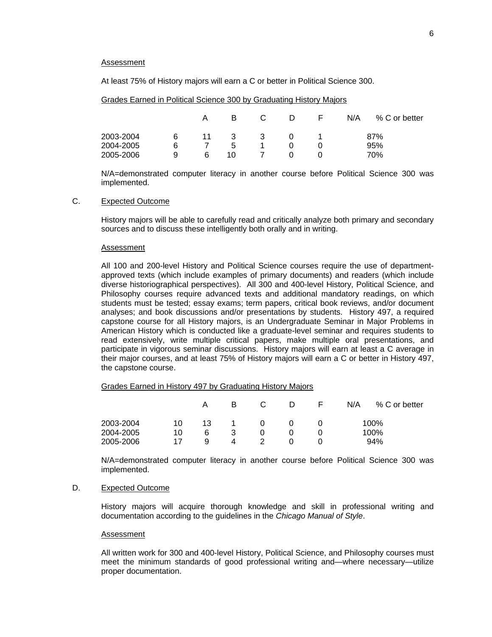#### **Assessment**

At least 75% of History majors will earn a C or better in Political Science 300.

Grades Earned in Political Science 300 by Graduating History Majors

|           |   | А  | в  |   | D | $\vdash$ | N/A | % C or better |
|-----------|---|----|----|---|---|----------|-----|---------------|
| 2003-2004 | 6 | 11 | 3  | 3 |   |          |     | 87%           |
| 2004-2005 | 6 |    | 5  |   |   |          |     | 95%           |
| 2005-2006 | 9 | 6  | 10 |   |   |          |     | 70%           |

N/A=demonstrated computer literacy in another course before Political Science 300 was implemented.

# C. Expected Outcome

History majors will be able to carefully read and critically analyze both primary and secondary sources and to discuss these intelligently both orally and in writing.

#### Assessment

All 100 and 200-level History and Political Science courses require the use of departmentapproved texts (which include examples of primary documents) and readers (which include diverse historiographical perspectives). All 300 and 400-level History, Political Science, and Philosophy courses require advanced texts and additional mandatory readings, on which students must be tested; essay exams; term papers, critical book reviews, and/or document analyses; and book discussions and/or presentations by students. History 497, a required capstone course for all History majors, is an Undergraduate Seminar in Major Problems in American History which is conducted like a graduate-level seminar and requires students to read extensively, write multiple critical papers, make multiple oral presentations, and participate in vigorous seminar discussions. History majors will earn at least a C average in their major courses, and at least 75% of History majors will earn a C or better in History 497, the capstone course.

### Grades Earned in History 497 by Graduating History Majors

|           |    | А  | в |          |  | N/A | % C or better |
|-----------|----|----|---|----------|--|-----|---------------|
| 2003-2004 | 10 | 13 |   | $\Omega$ |  |     | 100%          |
| 2004-2005 | 10 | 6  | 3 |          |  |     | 100%          |
| 2005-2006 | 17 | a  | 4 |          |  |     | 94%           |

N/A=demonstrated computer literacy in another course before Political Science 300 was implemented.

# D. Expected Outcome

History majors will acquire thorough knowledge and skill in professional writing and documentation according to the guidelines in the *Chicago Manual of Style*.

#### Assessment

All written work for 300 and 400-level History, Political Science, and Philosophy courses must meet the minimum standards of good professional writing and—where necessary—utilize proper documentation.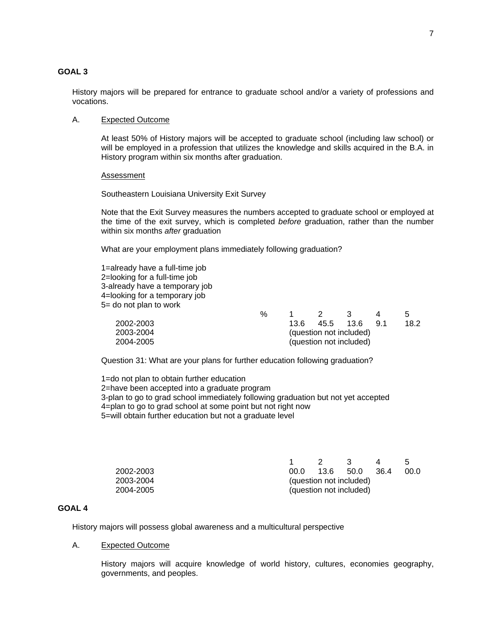# **GOAL 3**

History majors will be prepared for entrance to graduate school and/or a variety of professions and vocations.

### A. Expected Outcome

At least 50% of History majors will be accepted to graduate school (including law school) or will be employed in a profession that utilizes the knowledge and skills acquired in the B.A. in History program within six months after graduation.

#### Assessment

Southeastern Louisiana University Exit Survey

Note that the Exit Survey measures the numbers accepted to graduate school or employed at the time of the exit survey, which is completed *before* graduation, rather than the number within six months *after* graduation

What are your employment plans immediately following graduation?

1=already have a full-time job 2=looking for a full-time job 3-already have a temporary job 4=looking for a temporary job 5= do not plan to work

|           | % |      |                         |      |      |
|-----------|---|------|-------------------------|------|------|
| 2002-2003 |   | 13.6 | 45.5 13.6               | - 91 | 18.2 |
| 2003-2004 |   |      | (question not included) |      |      |
| 2004-2005 |   |      | (question not included) |      |      |

Question 31: What are your plans for further education following graduation?

1=do not plan to obtain further education 2=have been accepted into a graduate program 3-plan to go to grad school immediately following graduation but not yet accepted 4=plan to go to grad school at some point but not right now 5=will obtain further education but not a graduate level

|           |          |                         | $\mathcal{R}$ |        |       |
|-----------|----------|-------------------------|---------------|--------|-------|
| 2002-2003 | $00.0 -$ | 13.6 50.0               |               | - 36.4 | -00.0 |
| 2003-2004 |          | (question not included) |               |        |       |
| 2004-2005 |          | (question not included) |               |        |       |

### **GOAL 4**

History majors will possess global awareness and a multicultural perspective

## A. Expected Outcome

History majors will acquire knowledge of world history, cultures, economies geography, governments, and peoples.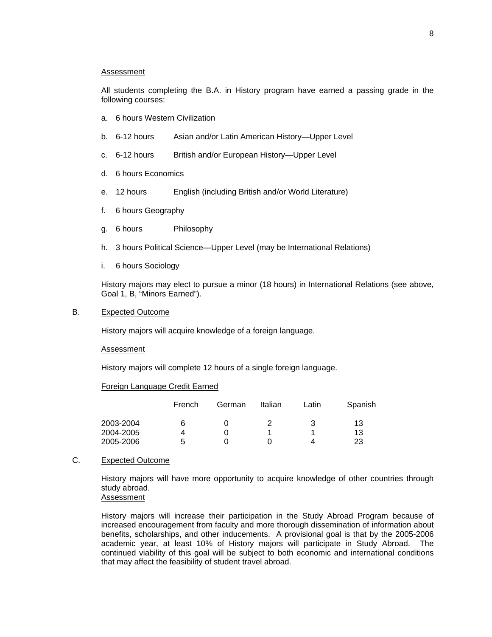#### Assessment

All students completing the B.A. in History program have earned a passing grade in the following courses:

- a. 6 hours Western Civilization
- b. 6-12 hours Asian and/or Latin American History-Upper Level
- c. 6-12 hours British and/or European History—Upper Level
- d. 6 hours Economics
- e. 12 hours English (including British and/or World Literature)
- f. 6 hours Geography
- g. 6 hours Philosophy
- h. 3 hours Political Science—Upper Level (may be International Relations)
- i. 6 hours Sociology

History majors may elect to pursue a minor (18 hours) in International Relations (see above, Goal 1, B, "Minors Earned").

## B. Expected Outcome

History majors will acquire knowledge of a foreign language.

#### Assessment

History majors will complete 12 hours of a single foreign language.

### Foreign Language Credit Earned

| French | German | Italian | Latin | Spanish |
|--------|--------|---------|-------|---------|
| 6      |        |         |       | 13      |
|        |        |         |       | 13      |
| b      |        |         |       | 23      |
|        |        |         |       |         |

# C. Expected Outcome

History majors will have more opportunity to acquire knowledge of other countries through study abroad.

Assessment

History majors will increase their participation in the Study Abroad Program because of increased encouragement from faculty and more thorough dissemination of information about benefits, scholarships, and other inducements. A provisional goal is that by the 2005-2006 academic year, at least 10% of History majors will participate in Study Abroad. The continued viability of this goal will be subject to both economic and international conditions that may affect the feasibility of student travel abroad.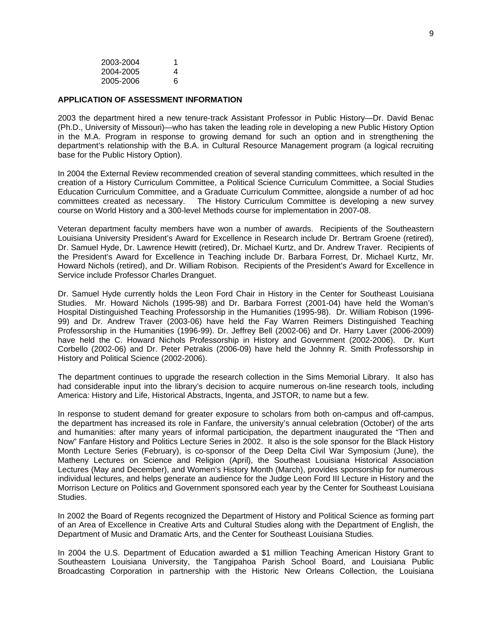| 2003-2004 | 1 |
|-----------|---|
| 2004-2005 | 4 |
| 2005-2006 | 6 |

#### **APPLICATION OF ASSESSMENT INFORMATION**

2003 the department hired a new tenure-track Assistant Professor in Public History—Dr. David Benac (Ph.D., University of Missouri)—who has taken the leading role in developing a new Public History Option in the M.A. Program in response to growing demand for such an option and in strengthening the department's relationship with the B.A. in Cultural Resource Management program (a logical recruiting base for the Public History Option).

In 2004 the External Review recommended creation of several standing committees, which resulted in the creation of a History Curriculum Committee, a Political Science Curriculum Committee, a Social Studies Education Curriculum Committee, and a Graduate Curriculum Committee, alongside a number of ad hoc committees created as necessary. The History Curriculum Committee is developing a new survey course on World History and a 300-level Methods course for implementation in 2007-08.

Veteran department faculty members have won a number of awards. Recipients of the Southeastern Louisiana University President's Award for Excellence in Research include Dr. Bertram Groene (retired), Dr. Samuel Hyde, Dr. Lawrence Hewitt (retired), Dr. Michael Kurtz, and Dr. Andrew Traver. Recipients of the President's Award for Excellence in Teaching include Dr. Barbara Forrest, Dr. Michael Kurtz, Mr. Howard Nichols (retired), and Dr. William Robison. Recipients of the President's Award for Excellence in Service include Professor Charles Dranguet.

Dr. Samuel Hyde currently holds the Leon Ford Chair in History in the Center for Southeast Louisiana Studies. Mr. Howard Nichols (1995-98) and Dr. Barbara Forrest (2001-04) have held the Woman's Hospital Distinguished Teaching Professorship in the Humanities (1995-98). Dr. William Robison (1996- 99) and Dr. Andrew Traver (2003-06) have held the Fay Warren Reimers Distinguished Teaching Professorship in the Humanities (1996-99). Dr. Jeffrey Bell (2002-06) and Dr. Harry Laver (2006-2009) have held the C. Howard Nichols Professorship in History and Government (2002-2006). Dr. Kurt Corbello (2002-06) and Dr. Peter Petrakis (2006-09) have held the Johnny R. Smith Professorship in History and Political Science (2002-2006).

The department continues to upgrade the research collection in the Sims Memorial Library. It also has had considerable input into the library's decision to acquire numerous on-line research tools, including America: History and Life, Historical Abstracts, Ingenta, and JSTOR, to name but a few.

In response to student demand for greater exposure to scholars from both on-campus and off-campus, the department has increased its role in Fanfare, the university's annual celebration (October) of the arts and humanities: after many years of informal participation, the department inaugurated the "Then and Now" Fanfare History and Politics Lecture Series in 2002. It also is the sole sponsor for the Black History Month Lecture Series (February), is co-sponsor of the Deep Delta Civil War Symposium (June), the Matheny Lectures on Science and Religion (April), the Southeast Louisiana Historical Association Lectures (May and December), and Women's History Month (March), provides sponsorship for numerous individual lectures, and helps generate an audience for the Judge Leon Ford III Lecture in History and the Morrison Lecture on Politics and Government sponsored each year by the Center for Southeast Louisiana Studies.

In 2002 the Board of Regents recognized the Department of History and Political Science as forming part of an Area of Excellence in Creative Arts and Cultural Studies along with the Department of English, the Department of Music and Dramatic Arts, and the Center for Southeast Louisiana Studies.

In 2004 the U.S. Department of Education awarded a \$1 million Teaching American History Grant to Southeastern Louisiana University, the Tangipahoa Parish School Board, and Louisiana Public Broadcasting Corporation in partnership with the Historic New Orleans Collection, the Louisiana